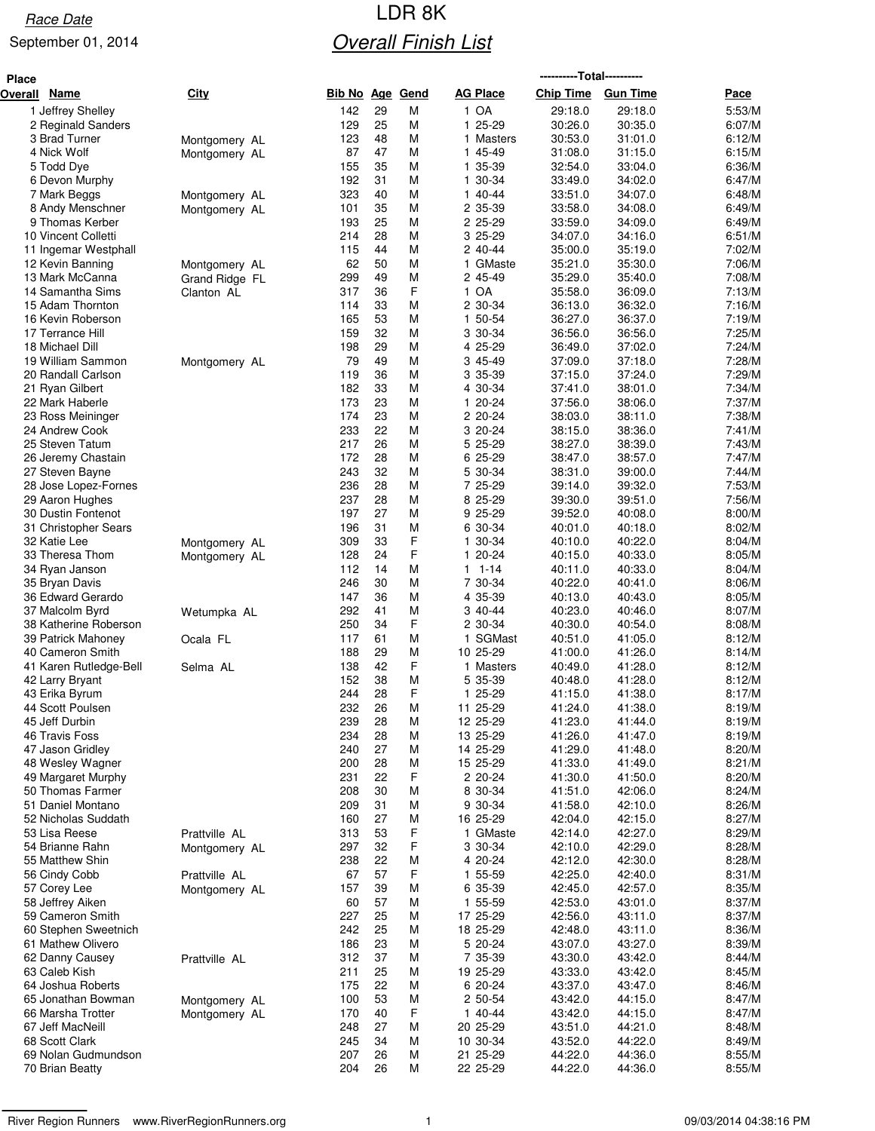# Race Date **Race Date Race Date Race Date Race Date Race Date Race Date R Overall Finish List**

| <b>Place</b>   |                                         |                                |                   |          |             |                         | ----------Total---------- |                    |                  |
|----------------|-----------------------------------------|--------------------------------|-------------------|----------|-------------|-------------------------|---------------------------|--------------------|------------------|
| <b>Overall</b> | <b>Name</b>                             | <b>City</b>                    | <u>Bib No Age</u> |          | <u>Gend</u> | <b>AG Place</b>         | <b>Chip Time</b>          | <b>Gun Time</b>    | <u>Pace</u>      |
|                | 1 Jeffrey Shelley                       |                                | 142               | 29       | М           | 1 OA                    | 29:18.0                   | 29:18.0            | 5:53/M           |
|                | 2 Reginald Sanders                      |                                | 129               | 25       | М           | 25-29<br>1.             | 30:26.0                   | 30:35.0            | 6:07/M           |
|                | 3 Brad Turner                           | Montgomery AL                  | 123               | 48       | M           | 1 Masters               | 30:53.0                   | 31:01.0            | 6:12/M           |
|                | 4 Nick Wolf                             | Montgomery AL                  | 87                | 47       | М           | 1 45-49                 | 31:08.0                   | 31:15.0            | 6:15/M           |
|                | 5 Todd Dye<br>6 Devon Murphy            |                                | 155<br>192        | 35<br>31 | М<br>M      | 1 35-39<br>1 30-34      | 32:54.0<br>33:49.0        | 33:04.0<br>34:02.0 | 6:36/M<br>6:47/M |
|                | 7 Mark Beggs                            | Montgomery AL                  | 323               | 40       | М           | 1 40-44                 | 33:51.0                   | 34:07.0            | 6:48/M           |
|                | 8 Andy Menschner                        | Montgomery AL                  | 101               | 35       | M           | 2 35-39                 | 33:58.0                   | 34:08.0            | 6:49/M           |
|                | 9 Thomas Kerber                         |                                | 193               | 25       | М           | 2 25-29                 | 33:59.0                   | 34:09.0            | 6:49/M           |
|                | 10 Vincent Colletti                     |                                | 214               | 28       | М           | 3 25-29                 | 34:07.0                   | 34:16.0            | 6:51/M           |
|                | 11 Ingemar Westphall                    |                                | 115               | 44       | М           | 2 40-44                 | 35:00.0                   | 35:19.0            | 7:02/M           |
|                | 12 Kevin Banning                        | Montgomery AL                  | 62                | 50       | М           | 1 GMaste                | 35:21.0                   | 35:30.0            | 7:06/M           |
|                | 13 Mark McCanna<br>14 Samantha Sims     | Grand Ridge FL                 | 299<br>317        | 49<br>36 | М<br>F      | 2 45-49<br>1 OA         | 35:29.0<br>35:58.0        | 35:40.0<br>36:09.0 | 7:08/M<br>7:13/M |
|                | 15 Adam Thornton                        | Clanton AL                     | 114               | 33       | М           | 2 30-34                 | 36:13.0                   | 36:32.0            | 7:16/M           |
|                | 16 Kevin Roberson                       |                                | 165               | 53       | M           | 1 50-54                 | 36:27.0                   | 36:37.0            | 7:19/M           |
|                | 17 Terrance Hill                        |                                | 159               | 32       | М           | 3 30-34                 | 36:56.0                   | 36:56.0            | 7:25/M           |
|                | 18 Michael Dill                         |                                | 198               | 29       | M           | 4 25-29                 | 36:49.0                   | 37:02.0            | 7:24/M           |
|                | 19 William Sammon                       | Montgomery AL                  | 79                | 49       | М           | 3 45-49                 | 37:09.0                   | 37:18.0            | 7:28/M           |
|                | 20 Randall Carlson                      |                                | 119               | 36       | М           | 3 35-39                 | 37:15.0                   | 37:24.0            | 7:29/M           |
|                | 21 Ryan Gilbert                         |                                | 182               | 33       | М           | 4 30-34                 | 37:41.0                   | 38:01.0            | 7:34/M           |
|                | 22 Mark Haberle<br>23 Ross Meininger    |                                | 173<br>174        | 23<br>23 | М<br>М      | 1 20-24<br>2 20-24      | 37:56.0<br>38:03.0        | 38:06.0<br>38:11.0 | 7:37/M<br>7:38/M |
|                | 24 Andrew Cook                          |                                | 233               | 22       | M           | 3 20-24                 | 38:15.0                   | 38:36.0            | 7:41/M           |
|                | 25 Steven Tatum                         |                                | 217               | 26       | М           | 5 25-29                 | 38:27.0                   | 38:39.0            | 7:43/M           |
|                | 26 Jeremy Chastain                      |                                | 172               | 28       | М           | 6 25-29                 | 38:47.0                   | 38:57.0            | 7:47/M           |
|                | 27 Steven Bayne                         |                                | 243               | 32       | М           | 5 30-34                 | 38:31.0                   | 39:00.0            | 7:44/M           |
|                | 28 Jose Lopez-Fornes                    |                                | 236               | 28       | М           | 7 25-29                 | 39:14.0                   | 39:32.0            | 7:53/M           |
|                | 29 Aaron Hughes                         |                                | 237               | 28       | М           | 8 25-29                 | 39:30.0                   | 39:51.0            | 7:56/M           |
|                | 30 Dustin Fontenot                      |                                | 197               | 27       | М           | 9 25-29                 | 39:52.0                   | 40:08.0            | 8:00/M           |
|                | 31 Christopher Sears<br>32 Katie Lee    |                                | 196<br>309        | 31<br>33 | М<br>F      | 6 30-34<br>1 30-34      | 40:01.0<br>40:10.0        | 40:18.0<br>40:22.0 | 8:02/M<br>8:04/M |
|                | 33 Theresa Thom                         | Montgomery AL<br>Montgomery AL | 128               | 24       | F           | 1 20-24                 | 40:15.0                   | 40:33.0            | 8:05/M           |
|                | 34 Ryan Janson                          |                                | 112               | 14       | М           | $1 1 - 14$              | 40:11.0                   | 40:33.0            | 8:04/M           |
|                | 35 Bryan Davis                          |                                | 246               | 30       | M           | 7 30-34                 | 40:22.0                   | 40:41.0            | 8:06/M           |
|                | 36 Edward Gerardo                       |                                | 147               | 36       | М           | 4 35-39                 | 40:13.0                   | 40:43.0            | 8:05/M           |
|                | 37 Malcolm Byrd                         | Wetumpka AL                    | 292               | 41       | M           | 3 40-44                 | 40:23.0                   | 40:46.0            | 8:07/M           |
|                | 38 Katherine Roberson                   |                                | 250               | 34       | F           | 2 30-34                 | 40:30.0                   | 40:54.0            | 8:08/M           |
|                | 39 Patrick Mahoney<br>40 Cameron Smith  | Ocala FL                       | 117<br>188        | 61<br>29 | M<br>М      | SGMast<br>1<br>10 25-29 | 40:51.0<br>41:00.0        | 41:05.0<br>41:26.0 | 8:12/M<br>8:14/M |
|                | 41 Karen Rutledge-Bell                  | Selma AL                       | 138               | 42       | F           | 1 Masters               | 40:49.0                   | 41:28.0            | 8:12/M           |
|                | 42 Larry Bryant                         |                                | 152               | 38       | М           | 5 35-39                 | 40:48.0                   | 41:28.0            | 8:12/M           |
|                | 43 Erika Byrum                          |                                | 244               | 28       | F           | 1 25-29                 | 41:15.0                   | 41:38.0            | 8:17/M           |
|                | 44 Scott Poulsen                        |                                | 232               | 26       | M           | 11 25-29                | 41:24.0                   | 41:38.0            | 8:19/M           |
|                | 45 Jeff Durbin                          |                                | 239               | 28       | M           | 12 25-29                | 41:23.0                   | 41:44.0            | 8:19/M           |
|                | 46 Travis Foss                          |                                | 234               | 28       | M           | 13 25-29                | 41:26.0                   | 41:47.0            | 8:19/M           |
|                | 47 Jason Gridley<br>48 Wesley Wagner    |                                | 240<br>200        | 27<br>28 | M<br>M      | 14 25-29<br>15 25-29    | 41:29.0<br>41:33.0        | 41:48.0<br>41:49.0 | 8:20/M<br>8:21/M |
|                | 49 Margaret Murphy                      |                                | 231               | 22       | F           | 2 20-24                 | 41:30.0                   | 41:50.0            | 8:20/M           |
|                | 50 Thomas Farmer                        |                                | 208               | 30       | M           | 8 30-34                 | 41:51.0                   | 42:06.0            | 8:24/M           |
|                | 51 Daniel Montano                       |                                | 209               | 31       | M           | 9 30-34                 | 41:58.0                   | 42:10.0            | 8:26/M           |
|                | 52 Nicholas Suddath                     |                                | 160               | 27       | М           | 16 25-29                | 42:04.0                   | 42:15.0            | 8:27/M           |
|                | 53 Lisa Reese                           | Prattville AL                  | 313               | 53       | F           | 1 GMaste                | 42:14.0                   | 42:27.0            | 8:29/M           |
|                | 54 Brianne Rahn                         | Montgomery AL                  | 297               | 32       | F           | 3 30-34                 | 42:10.0                   | 42:29.0            | 8:28/M           |
|                | 55 Matthew Shin<br>56 Cindy Cobb        |                                | 238<br>67         | 22<br>57 | М<br>F      | 4 20-24<br>1 55-59      | 42:12.0<br>42:25.0        | 42:30.0<br>42:40.0 | 8:28/M<br>8:31/M |
|                | 57 Corey Lee                            | Prattville AL<br>Montgomery AL | 157               | 39       | М           | 6 35-39                 | 42:45.0                   | 42:57.0            | 8:35/M           |
|                | 58 Jeffrey Aiken                        |                                | 60                | 57       | M           | 1 55-59                 | 42:53.0                   | 43:01.0            | 8:37/M           |
|                | 59 Cameron Smith                        |                                | 227               | 25       | М           | 17 25-29                | 42:56.0                   | 43:11.0            | 8:37/M           |
|                | 60 Stephen Sweetnich                    |                                | 242               | 25       | М           | 18 25-29                | 42:48.0                   | 43:11.0            | 8:36/M           |
|                | 61 Mathew Olivero                       |                                | 186               | 23       | M           | 5 20-24                 | 43:07.0                   | 43:27.0            | 8:39/M           |
|                | 62 Danny Causey                         | Prattville AL                  | 312               | 37       | M           | 7 35-39                 | 43:30.0                   | 43:42.0            | 8:44/M           |
|                | 63 Caleb Kish                           |                                | 211               | 25       | М           | 19 25-29                | 43:33.0                   | 43:42.0            | 8:45/M           |
|                | 64 Joshua Roberts<br>65 Jonathan Bowman |                                | 175<br>100        | 22<br>53 | M<br>М      | 6 20-24<br>2 50-54      | 43:37.0<br>43:42.0        | 43:47.0<br>44:15.0 | 8:46/M<br>8:47/M |
|                | 66 Marsha Trotter                       | Montgomery AL<br>Montgomery AL | 170               | 40       | F           | 1 40-44                 | 43:42.0                   | 44:15.0            | 8:47/M           |
|                | 67 Jeff MacNeill                        |                                | 248               | 27       | M           | 20 25-29                | 43:51.0                   | 44:21.0            | 8:48/M           |
|                | 68 Scott Clark                          |                                | 245               | 34       | M           | 10 30-34                | 43:52.0                   | 44:22.0            | 8:49/M           |
|                | 69 Nolan Gudmundson                     |                                | 207               | 26       | M           | 21 25-29                | 44:22.0                   | 44:36.0            | 8:55/M           |
|                | 70 Brian Beatty                         |                                | 204               | 26       | М           | 22 25-29                | 44:22.0                   | 44:36.0            | 8:55/M           |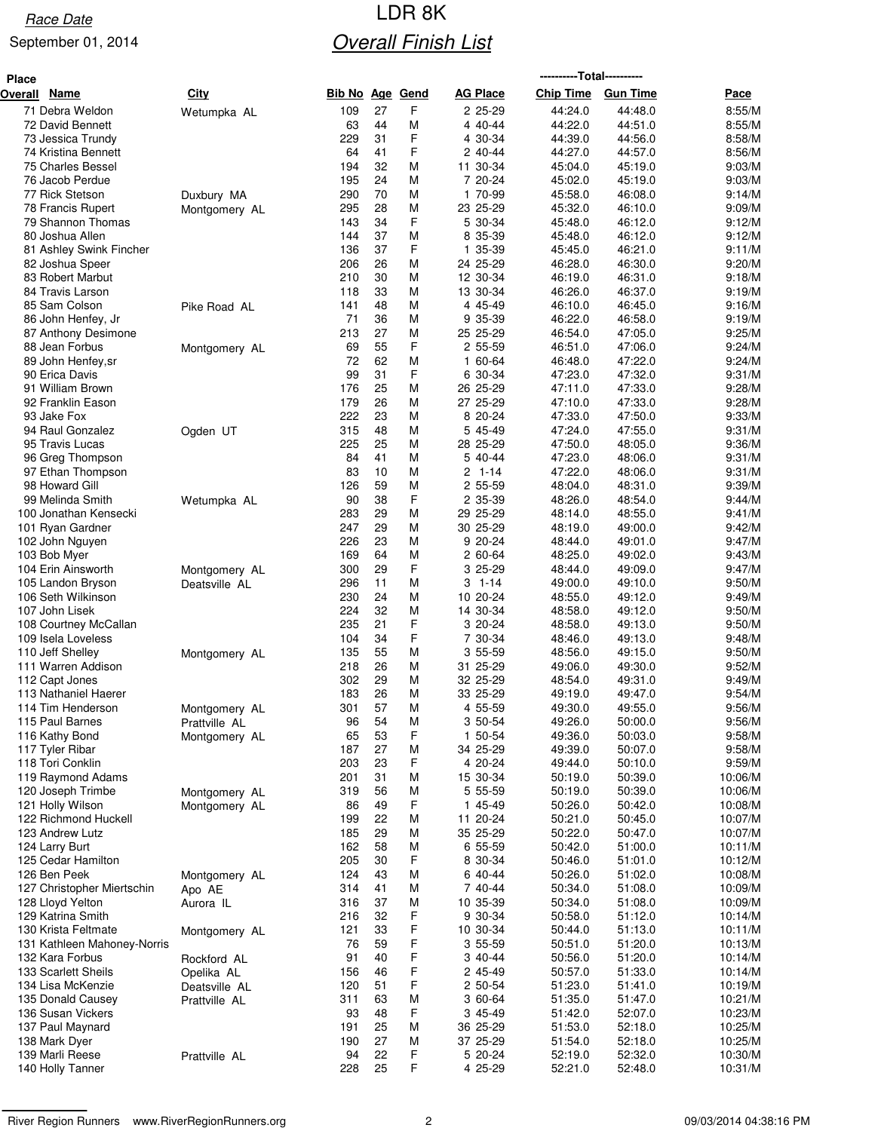# Race Date **Race Date Race Date Race Date Race Date Race Date Race Date R Overall Finish List**

| <b>Place</b>                           |               |                        |          |        |                      | -----------Total----------- |                    |                    |
|----------------------------------------|---------------|------------------------|----------|--------|----------------------|-----------------------------|--------------------|--------------------|
| <b>Name</b><br><b>Overall</b>          | <b>City</b>   | <b>Bib No Age Gend</b> |          |        | <b>AG Place</b>      | <b>Chip Time</b>            | <b>Gun Time</b>    | Pace               |
| 71 Debra Weldon                        | Wetumpka AL   | 109                    | 27       | F      | 2 25-29              | 44:24.0                     | 44:48.0            | 8:55/M             |
| 72 David Bennett                       |               | 63                     | 44       | M      | 4 40-44              | 44:22.0                     | 44:51.0            | 8:55/M             |
| 73 Jessica Trundy                      |               | 229                    | 31       | F      | 4 30-34              | 44:39.0                     | 44:56.0            | 8:58/M             |
| 74 Kristina Bennett                    |               | 64                     | 41       | F      | 2 40-44              | 44:27.0                     | 44:57.0            | 8:56/M             |
| 75 Charles Bessel                      |               | 194                    | 32       | М      | 11 30-34             | 45:04.0                     | 45:19.0            | 9:03/M             |
| 76 Jacob Perdue                        |               | 195                    | 24       | M      | 7 20-24              | 45:02.0                     | 45:19.0            | 9:03/M             |
| 77 Rick Stetson                        | Duxbury MA    | 290<br>295             | 70<br>28 | M<br>M | 1 70-99<br>23 25-29  | 45:58.0<br>45:32.0          | 46:08.0<br>46:10.0 | 9:14/M<br>9:09/M   |
| 78 Francis Rupert<br>79 Shannon Thomas | Montgomery AL | 143                    | 34       | F      | 5 30-34              | 45:48.0                     | 46:12.0            | 9:12/M             |
| 80 Joshua Allen                        |               | 144                    | 37       | M      | 8 35-39              | 45:48.0                     | 46:12.0            | 9:12/M             |
| 81 Ashley Swink Fincher                |               | 136                    | 37       | F      | 35-39<br>1.          | 45:45.0                     | 46:21.0            | 9:11/M             |
| 82 Joshua Speer                        |               | 206                    | 26       | M      | 24 25-29             | 46:28.0                     | 46:30.0            | 9:20/M             |
| 83 Robert Marbut                       |               | 210                    | 30       | M      | 12 30-34             | 46:19.0                     | 46:31.0            | 9:18/M             |
| 84 Travis Larson                       |               | 118                    | 33       | M      | 13 30-34             | 46:26.0                     | 46:37.0            | 9:19/M             |
| 85 Sam Colson                          | Pike Road AL  | 141                    | 48       | M      | 4 45-49              | 46:10.0                     | 46:45.0            | 9:16/M             |
| 86 John Henfey, Jr                     |               | 71                     | 36       | M      | 9 35-39              | 46:22.0                     | 46:58.0            | 9:19/M             |
| 87 Anthony Desimone                    |               | 213                    | 27       | M      | 25 25-29             | 46:54.0                     | 47:05.0            | 9:25/M             |
| 88 Jean Forbus                         | Montgomery AL | 69                     | 55       | F      | 2 55-59              | 46:51.0                     | 47:06.0            | 9:24/M             |
| 89 John Henfey, sr                     |               | 72                     | 62       | M      | 1 60-64              | 46:48.0                     | 47:22.0            | 9:24/M             |
| 90 Erica Davis                         |               | 99                     | 31       | F      | 6 30-34              | 47:23.0                     | 47:32.0            | 9:31/M             |
| 91 William Brown                       |               | 176                    | 25       | M      | 26 25-29             | 47:11.0                     | 47:33.0            | 9:28/M             |
| 92 Franklin Eason                      |               | 179                    | 26       | M      | 27 25-29             | 47:10.0                     | 47:33.0            | 9:28/M             |
| 93 Jake Fox                            |               | 222                    | 23       | M      | 8 20-24              | 47:33.0                     | 47:50.0            | 9:33/M             |
| 94 Raul Gonzalez<br>95 Travis Lucas    | Ogden UT      | 315<br>225             | 48<br>25 | M<br>М | 5 45-49<br>28 25-29  | 47:24.0<br>47:50.0          | 47:55.0<br>48:05.0 | 9:31/M<br>9:36/M   |
| 96 Greg Thompson                       |               | 84                     | 41       | М      | 5 40-44              | 47:23.0                     | 48:06.0            | 9:31/M             |
| 97 Ethan Thompson                      |               | 83                     | 10       | M      | 2<br>$1 - 14$        | 47:22.0                     | 48:06.0            | 9:31/M             |
| 98 Howard Gill                         |               | 126                    | 59       | M      | 2 55-59              | 48:04.0                     | 48:31.0            | 9:39/M             |
| 99 Melinda Smith                       | Wetumpka AL   | 90                     | 38       | F      | 2 35-39              | 48:26.0                     | 48:54.0            | 9:44/M             |
| 100 Jonathan Kensecki                  |               | 283                    | 29       | М      | 29 25-29             | 48:14.0                     | 48:55.0            | 9:41/M             |
| 101 Ryan Gardner                       |               | 247                    | 29       | M      | 30 25-29             | 48:19.0                     | 49:00.0            | 9:42/M             |
| 102 John Nguyen                        |               | 226                    | 23       | M      | 9 20-24              | 48:44.0                     | 49:01.0            | 9:47/M             |
| 103 Bob Myer                           |               | 169                    | 64       | M      | 2 60-64              | 48:25.0                     | 49:02.0            | 9:43/M             |
| 104 Erin Ainsworth                     | Montgomery AL | 300                    | 29       | F      | 3 25-29              | 48:44.0                     | 49:09.0            | 9:47/M             |
| 105 Landon Bryson                      | Deatsville AL | 296                    | 11       | M      | $1 - 14$<br>3        | 49:00.0                     | 49:10.0            | 9:50/M             |
| 106 Seth Wilkinson                     |               | 230                    | 24       | M      | 10 20-24             | 48:55.0                     | 49:12.0            | 9:49/M             |
| 107 John Lisek                         |               | 224                    | 32       | M      | 14 30-34             | 48:58.0                     | 49:12.0            | 9:50/M             |
| 108 Courtney McCallan                  |               | 235                    | 21       | F      | 3 20-24              | 48:58.0                     | 49:13.0            | 9:50/M             |
| 109 Isela Loveless                     |               | 104                    | 34       | F      | 7 30-34              | 48:46.0                     | 49:13.0            | 9:48/M             |
| 110 Jeff Shelley                       | Montgomery AL | 135                    | 55       | M      | 3 55-59              | 48:56.0                     | 49:15.0            | 9:50/M             |
| 111 Warren Addison<br>112 Capt Jones   |               | 218<br>302             | 26<br>29 | M<br>M | 31 25-29<br>32 25-29 | 49:06.0<br>48:54.0          | 49:30.0<br>49:31.0 | 9:52/M<br>9:49/M   |
| 113 Nathaniel Haerer                   |               | 183                    | 26       | M      | 33 25-29             | 49:19.0                     | 49:47.0            | 9:54/M             |
| 114 Tim Henderson                      | Montgomery AL | 301                    | 57       | M      | 4 55-59              | 49:30.0                     | 49:55.0            | 9:56/M             |
| 115 Paul Barnes                        | Prattville AL | 96                     | 54       | M      | 3 50-54              | 49:26.0                     | 50:00.0            | 9:56/M             |
| 116 Kathy Bond                         | Montgomery AL | 65                     | 53       | F      | 1 50-54              | 49:36.0                     | 50:03.0            | 9:58/M             |
| 117 Tyler Ribar                        |               | 187                    | 27       | M      | 34 25-29             | 49:39.0                     | 50:07.0            | 9:58/M             |
| 118 Tori Conklin                       |               | 203                    | 23       | F      | 4 20-24              | 49:44.0                     | 50:10.0            | 9:59/M             |
| 119 Raymond Adams                      |               | 201                    | 31       | M      | 15 30-34             | 50:19.0                     | 50:39.0            | 10:06/M            |
| 120 Joseph Trimbe                      | Montgomery AL | 319                    | 56       | M      | 5 55-59              | 50:19.0                     | 50:39.0            | 10:06/M            |
| 121 Holly Wilson                       | Montgomery AL | 86                     | 49       | F      | 1 45-49              | 50:26.0                     | 50:42.0            | 10:08/M            |
| 122 Richmond Huckell                   |               | 199                    | 22       | M      | 11 20-24             | 50:21.0                     | 50:45.0            | 10:07/M            |
| 123 Andrew Lutz                        |               | 185                    | 29       | M      | 35 25-29             | 50:22.0                     | 50:47.0            | 10:07/M            |
| 124 Larry Burt                         |               | 162                    | 58       | M      | 6 55-59              | 50:42.0                     | 51:00.0            | 10:11/M            |
| 125 Cedar Hamilton                     |               | 205                    | 30       | F      | 8 30-34              | 50:46.0                     | 51:01.0            | 10:12/M            |
| 126 Ben Peek                           | Montgomery AL | 124                    | 43       | M      | 6 40-44              | 50:26.0                     | 51:02.0            | 10:08/M            |
| 127 Christopher Miertschin             | Apo AE        | 314                    | 41       | М      | 7 40-44              | 50:34.0                     | 51:08.0            | 10:09/M            |
| 128 Lloyd Yelton<br>129 Katrina Smith  | Aurora IL     | 316<br>216             | 37<br>32 | M<br>F | 10 35-39<br>9 30-34  | 50:34.0<br>50:58.0          | 51:08.0<br>51:12.0 | 10:09/M<br>10:14/M |
| 130 Krista Feltmate                    |               | 121                    | 33       | F      | 10 30-34             | 50:44.0                     | 51:13.0            | 10:11/M            |
| 131 Kathleen Mahoney-Norris            | Montgomery AL | 76                     | 59       | F      | 3 55-59              | 50:51.0                     | 51:20.0            | 10:13/M            |
| 132 Kara Forbus                        | Rockford AL   | 91                     | 40       | F      | 3 40-44              | 50:56.0                     | 51:20.0            | 10:14/M            |
| 133 Scarlett Sheils                    | Opelika AL    | 156                    | 46       | F      | 2 45-49              | 50:57.0                     | 51:33.0            | 10:14/M            |
| 134 Lisa McKenzie                      | Deatsville AL | 120                    | 51       | F      | 2 50-54              | 51:23.0                     | 51:41.0            | 10:19/M            |
| 135 Donald Causey                      | Prattville AL | 311                    | 63       | M      | 3 60-64              | 51:35.0                     | 51:47.0            | 10:21/M            |
| 136 Susan Vickers                      |               | 93                     | 48       | F      | 3 45-49              | 51:42.0                     | 52:07.0            | 10:23/M            |
| 137 Paul Maynard                       |               | 191                    | 25       | M      | 36 25-29             | 51:53.0                     | 52:18.0            | 10:25/M            |
| 138 Mark Dyer                          |               | 190                    | 27       | M      | 37 25-29             | 51:54.0                     | 52:18.0            | 10:25/M            |
| 139 Marli Reese                        | Prattville AL | 94                     | 22       | F      | 5 20-24              | 52:19.0                     | 52:32.0            | 10:30/M            |
| 140 Holly Tanner                       |               | 228                    | 25       | F      | 4 25-29              | 52:21.0                     | 52:48.0            | 10:31/M            |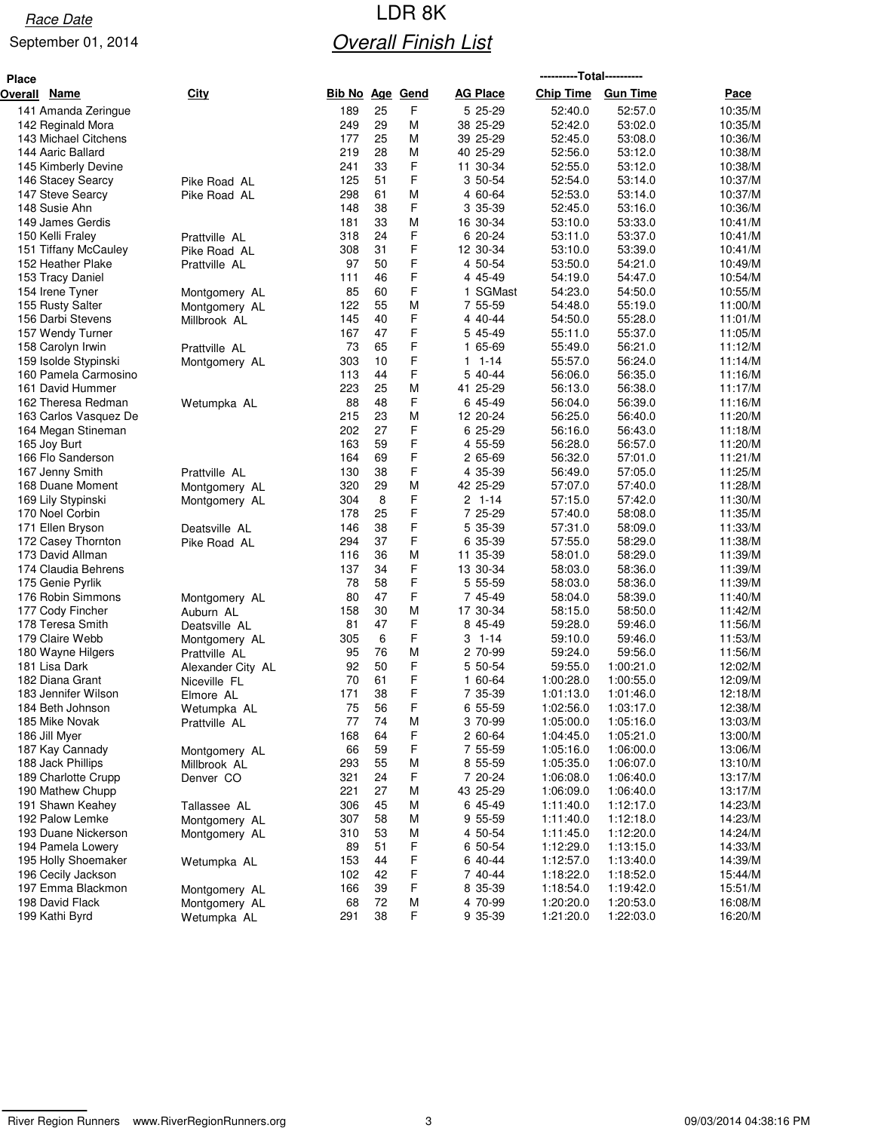# Race Date **Race Date Race Date Race Date Race Date Race Date Race Date R Overall Finish List**

| <b>Place</b> |                       |                   |                        |    |   |                 | ----------Total---------- |                 |         |
|--------------|-----------------------|-------------------|------------------------|----|---|-----------------|---------------------------|-----------------|---------|
| Overall      | <b>Name</b>           | City              | <b>Bib No Age Gend</b> |    |   | <b>AG Place</b> | <b>Chip Time</b>          | <b>Gun Time</b> | Pace    |
|              | 141 Amanda Zeringue   |                   | 189                    | 25 | F | 5 25-29         | 52:40.0                   | 52:57.0         | 10:35/M |
|              | 142 Reginald Mora     |                   | 249                    | 29 | М | 38 25-29        | 52:42.0                   | 53:02.0         | 10:35/M |
|              | 143 Michael Citchens  |                   | 177                    | 25 | M | 39 25-29        | 52:45.0                   | 53:08.0         | 10:36/M |
|              | 144 Aaric Ballard     |                   | 219                    | 28 | M | 40 25-29        | 52:56.0                   | 53:12.0         | 10:38/M |
|              | 145 Kimberly Devine   |                   | 241                    | 33 | F | 11 30-34        | 52:55.0                   | 53:12.0         | 10:38/M |
|              | 146 Stacey Searcy     | Pike Road AL      | 125                    | 51 | F | 3 50-54         | 52:54.0                   | 53:14.0         | 10:37/M |
|              | 147 Steve Searcy      | Pike Road AL      | 298                    | 61 | M | 4 60-64         | 52:53.0                   | 53:14.0         | 10:37/M |
|              | 148 Susie Ahn         |                   | 148                    | 38 | F | 3 35-39         | 52:45.0                   | 53:16.0         | 10:36/M |
|              | 149 James Gerdis      |                   | 181                    | 33 | M | 16 30-34        | 53:10.0                   | 53:33.0         | 10:41/M |
|              | 150 Kelli Fraley      | Prattville AL     | 318                    | 24 | F | 6 20-24         | 53:11.0                   | 53:37.0         | 10:41/M |
|              | 151 Tiffany McCauley  | Pike Road AL      | 308                    | 31 | F | 12 30-34        | 53:10.0                   | 53:39.0         | 10:41/M |
|              | 152 Heather Plake     | Prattville AL     | 97                     | 50 | F | 4 50-54         | 53:50.0                   | 54:21.0         | 10:49/M |
|              | 153 Tracy Daniel      |                   | 111                    | 46 | F | 4 45-49         | 54:19.0                   | 54:47.0         | 10:54/M |
|              | 154 Irene Tyner       | Montgomery AL     | 85                     | 60 | F | 1 SGMast        | 54:23.0                   | 54:50.0         | 10:55/M |
|              | 155 Rusty Salter      | Montgomery AL     | 122                    | 55 | M | 7 55-59         | 54:48.0                   | 55:19.0         | 11:00/M |
|              | 156 Darbi Stevens     | Millbrook AL      | 145                    | 40 | F | 4 40-44         | 54:50.0                   | 55:28.0         | 11:01/M |
|              | 157 Wendy Turner      |                   | 167                    | 47 | F | 5 45-49         | 55:11.0                   | 55:37.0         | 11:05/M |
|              | 158 Carolyn Irwin     | Prattville AL     | 73                     | 65 | F | 1 65-69         | 55:49.0                   | 56:21.0         | 11:12/M |
|              | 159 Isolde Stypinski  | Montgomery AL     | 303                    | 10 | F | 1-14<br>1.      | 55:57.0                   | 56:24.0         | 11:14/M |
|              | 160 Pamela Carmosino  |                   | 113                    | 44 | F | 5 40-44         | 56:06.0                   | 56:35.0         | 11:16/M |
|              | 161 David Hummer      |                   | 223                    | 25 | M | 41 25-29        | 56:13.0                   | 56:38.0         | 11:17/M |
|              | 162 Theresa Redman    | Wetumpka AL       | 88                     | 48 | F | 6 45-49         | 56:04.0                   | 56:39.0         | 11:16/M |
|              | 163 Carlos Vasquez De |                   | 215                    | 23 | M | 12 20-24        | 56:25.0                   | 56:40.0         | 11:20/M |
|              | 164 Megan Stineman    |                   | 202                    | 27 | F | 6 25-29         | 56:16.0                   | 56:43.0         | 11:18/M |
|              | 165 Joy Burt          |                   | 163                    | 59 | F | 4 55-59         | 56:28.0                   | 56:57.0         | 11:20/M |
|              | 166 Flo Sanderson     |                   | 164                    | 69 | F | 2 65-69         | 56:32.0                   | 57:01.0         | 11:21/M |
|              | 167 Jenny Smith       | Prattville AL     | 130                    | 38 | F | 4 35-39         | 56:49.0                   | 57:05.0         | 11:25/M |
|              | 168 Duane Moment      | Montgomery AL     | 320                    | 29 | М | 42 25-29        | 57:07.0                   | 57:40.0         | 11:28/M |
|              | 169 Lily Stypinski    | Montgomery AL     | 304                    | 8  | F | 2 1-14          | 57:15.0                   | 57:42.0         | 11:30/M |
|              | 170 Noel Corbin       |                   | 178                    | 25 | F | 7 25-29         | 57:40.0                   | 58:08.0         | 11:35/M |
|              | 171 Ellen Bryson      | Deatsville AL     | 146                    | 38 | F | 5 35-39         | 57:31.0                   | 58:09.0         | 11:33/M |
|              | 172 Casey Thornton    | Pike Road AL      | 294                    | 37 | F | 35-39<br>6      | 57:55.0                   | 58:29.0         | 11:38/M |
|              | 173 David Allman      |                   | 116                    | 36 | M | 11 35-39        | 58:01.0                   | 58:29.0         | 11:39/M |
|              | 174 Claudia Behrens   |                   | 137                    | 34 | F | 13 30-34        | 58:03.0                   | 58:36.0         | 11:39/M |
|              | 175 Genie Pyrlik      |                   | 78                     | 58 | F | 5 55-59         | 58:03.0                   | 58:36.0         | 11:39/M |
|              | 176 Robin Simmons     | Montgomery AL     | 80                     | 47 | F | 7 45-49         | 58:04.0                   | 58:39.0         | 11:40/M |
|              | 177 Cody Fincher      | Auburn AL         | 158                    | 30 | M | 17 30-34        | 58:15.0                   | 58:50.0         | 11:42/M |
|              | 178 Teresa Smith      | Deatsville AL     | 81                     | 47 | F | 8 45-49         | 59:28.0                   | 59:46.0         | 11:56/M |
|              | 179 Claire Webb       | Montgomery AL     | 305                    | 6  | F | $3 - 1 - 14$    | 59:10.0                   | 59:46.0         | 11:53/M |
|              | 180 Wayne Hilgers     | Prattville AL     | 95                     | 76 | M | 2 70-99         | 59:24.0                   | 59:56.0         | 11:56/M |
|              | 181 Lisa Dark         | Alexander City AL | 92                     | 50 | F | 5 50-54         | 59:55.0                   | 1:00:21.0       | 12:02/M |
|              | 182 Diana Grant       | Niceville FL      | 70                     | 61 | F | 60-64<br>1.     | 1:00:28.0                 | 1:00:55.0       | 12:09/M |
|              | 183 Jennifer Wilson   | Elmore AL         | 171                    | 38 | F | 7 35-39         | 1:01:13.0                 | 1:01:46.0       | 12:18/M |
|              | 184 Beth Johnson      | Wetumpka AL       | 75                     | 56 | F | 6<br>55-59      | 1:02:56.0                 | 1:03:17.0       | 12:38/M |
|              | 185 Mike Novak        | Prattville AL     | $77$                   | 74 | M | 3 70-99         | 1:05:00.0                 | 1:05:16.0       | 13:03/M |
|              | 186 Jill Myer         |                   | 168                    | 64 | F | 2 60-64         | 1:04:45.0                 | 1:05:21.0       | 13:00/M |
|              | 187 Kay Cannady       | Montgomery AL     | 66                     | 59 | F | 7 55-59         | 1:05:16.0                 | 1:06:00.0       | 13:06/M |
|              | 188 Jack Phillips     | Millbrook AL      | 293                    | 55 | M | 8 55-59         | 1:05:35.0                 | 1:06:07.0       | 13:10/M |
|              | 189 Charlotte Crupp   | Denver CO         | 321                    | 24 | F | 7 20-24         | 1:06:08.0                 | 1:06:40.0       | 13:17/M |
|              | 190 Mathew Chupp      |                   | 221                    | 27 | M | 43 25-29        | 1:06:09.0                 | 1:06:40.0       | 13:17/M |
|              | 191 Shawn Keahey      | Tallassee AL      | 306                    | 45 | M | 6 45-49         | 1:11:40.0                 | 1:12:17.0       | 14:23/M |
|              | 192 Palow Lemke       | Montgomery AL     | 307                    | 58 | M | 9 55-59         | 1:11:40.0                 | 1:12:18.0       | 14:23/M |
|              | 193 Duane Nickerson   | Montgomery AL     | 310                    | 53 | М | 4 50-54         | 1:11:45.0                 | 1:12:20.0       | 14:24/M |
|              | 194 Pamela Lowery     |                   | 89                     | 51 | F | 6 50-54         | 1:12:29.0                 | 1:13:15.0       | 14:33/M |
|              | 195 Holly Shoemaker   | Wetumpka AL       | 153                    | 44 | F | 6 40-44         | 1:12:57.0                 | 1:13:40.0       | 14:39/M |
|              | 196 Cecily Jackson    |                   | 102                    | 42 | F | 7 40-44         | 1:18:22.0                 | 1:18:52.0       | 15:44/M |
|              | 197 Emma Blackmon     | Montgomery AL     | 166                    | 39 | F | 8 35-39         | 1:18:54.0                 | 1:19:42.0       | 15:51/M |
|              | 198 David Flack       | Montgomery AL     | 68                     | 72 | M | 4 70-99         | 1:20:20.0                 | 1:20:53.0       | 16:08/M |
|              | 199 Kathi Byrd        | Wetumpka AL       | 291                    | 38 | F | 9 35-39         | 1:21:20.0                 | 1:22:03.0       | 16:20/M |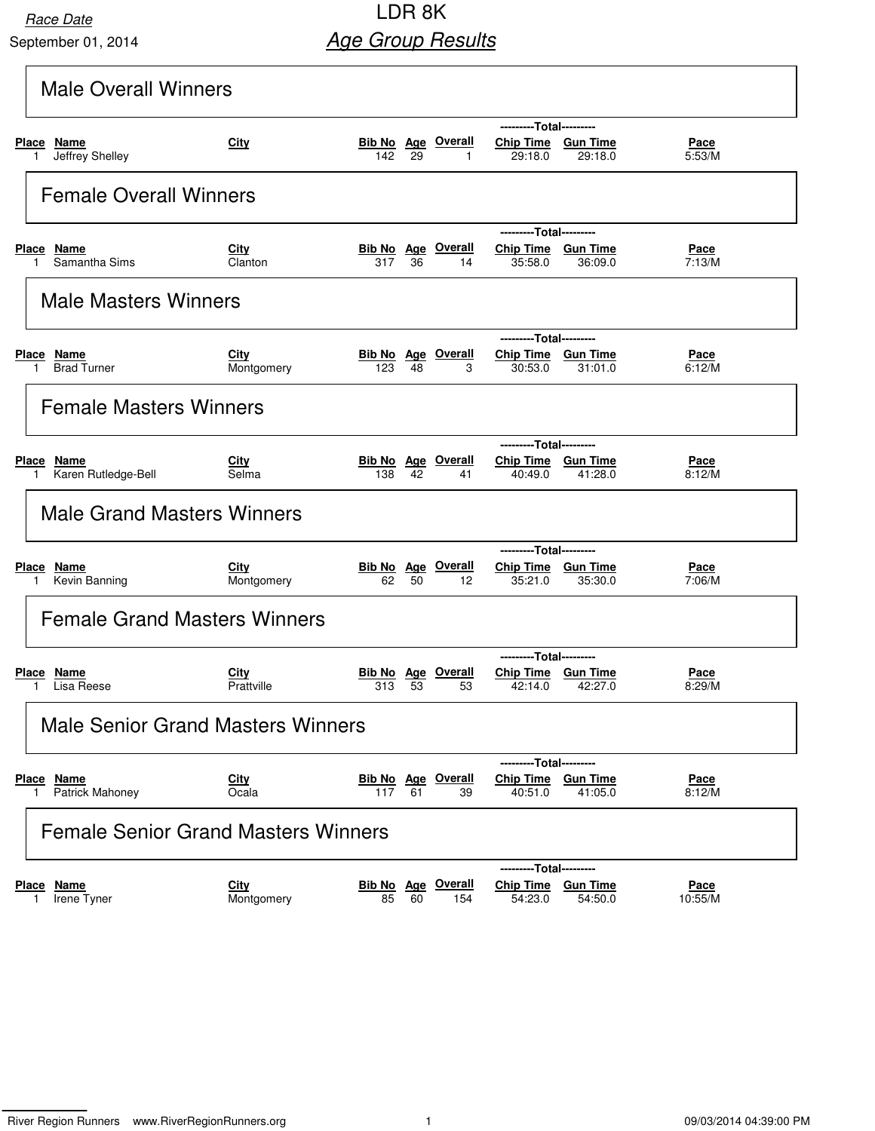## **Race Date LDR 8K Age Group Results**

|                                  | <b>Male Overall Winners</b>                |                           |                   |    |                                           |                                                          |                              |                        |  |
|----------------------------------|--------------------------------------------|---------------------------|-------------------|----|-------------------------------------------|----------------------------------------------------------|------------------------------|------------------------|--|
| Place Name<br>1.                 | Jeffrey Shelley                            | <b>City</b>               | 142               | 29 | <b>Bib No</b> Age Overall<br>$\mathbf{1}$ | ---------Total---------<br>Chip Time Gun Time<br>29:18.0 | 29:18.0                      | Pace<br>5:53/M         |  |
|                                  | <b>Female Overall Winners</b>              |                           |                   |    |                                           |                                                          |                              |                        |  |
| Place Name                       | Samantha Sims                              | City<br>Clanton           | 317               | 36 | <b>Bib No Age Overall</b><br>14           | ---------Total---------<br>Chip Time Gun Time<br>35:58.0 | 36:09.0                      | <u>Pace</u><br>7:13/M  |  |
|                                  | <b>Male Masters Winners</b>                |                           |                   |    |                                           |                                                          |                              |                        |  |
| Place Name                       | <b>Brad Turner</b>                         | <b>City</b><br>Montgomery | 123               | 48 | <b>Bib No</b> Age Overall<br>3            | ---------Total---------<br>Chip Time Gun Time<br>30:53.0 | 31:01.0                      | <u>Pace</u><br>6:12/M  |  |
|                                  | <b>Female Masters Winners</b>              |                           |                   |    |                                           |                                                          |                              |                        |  |
| Place<br>Name<br>1.              | Karen Rutledge-Bell                        | City<br>Selma             | 138               | 42 | <b>Bib No Age Overall</b><br>41           | ---------Total---------<br>Chip Time Gun Time<br>40:49.0 | 41:28.0                      | Pace<br>8:12/M         |  |
|                                  | <b>Male Grand Masters Winners</b>          |                           |                   |    |                                           |                                                          |                              |                        |  |
| Place Name<br>1.                 | Kevin Banning                              | City<br>Montgomery        | 62                | 50 | <b>Bib No</b> Age Overall<br>12           | ---------Total---------<br>Chip Time Gun Time<br>35:21.0 | 35:30.0                      | Pace<br>7:06/M         |  |
|                                  | <b>Female Grand Masters Winners</b>        |                           |                   |    |                                           |                                                          |                              |                        |  |
| Place Name                       | Lisa Reese                                 | City<br>Prattville        | Bib No Age<br>313 | 53 | Overall<br>53                             | ---------Total---------<br>Chip Time Gun Time<br>42:14.0 | 42:27.0                      | <u>Pace</u><br>8:29/M  |  |
|                                  | <b>Male Senior Grand Masters Winners</b>   |                           |                   |    |                                           |                                                          |                              |                        |  |
| <u>Place</u><br><u>Name</u><br>1 | <b>Patrick Mahoney</b>                     | <b>City</b><br>Ocala      | 117               | 61 | <b>Bib No</b> Age Overall<br>39           | Chip Time Gun Time<br>40:51.0                            | ---Total---------<br>41:05.0 | <u>Pace</u><br>8:12/M  |  |
|                                  | <b>Female Senior Grand Masters Winners</b> |                           |                   |    |                                           |                                                          |                              |                        |  |
| <u>Name</u><br>Place             | Irene Tyner                                | <b>City</b><br>Montgomery | 85                | 60 | <b>Bib No</b> Age Overall<br>154          | ---------Total---------<br>Chip Time Gun Time<br>54:23.0 | 54:50.0                      | <u>Pace</u><br>10:55/M |  |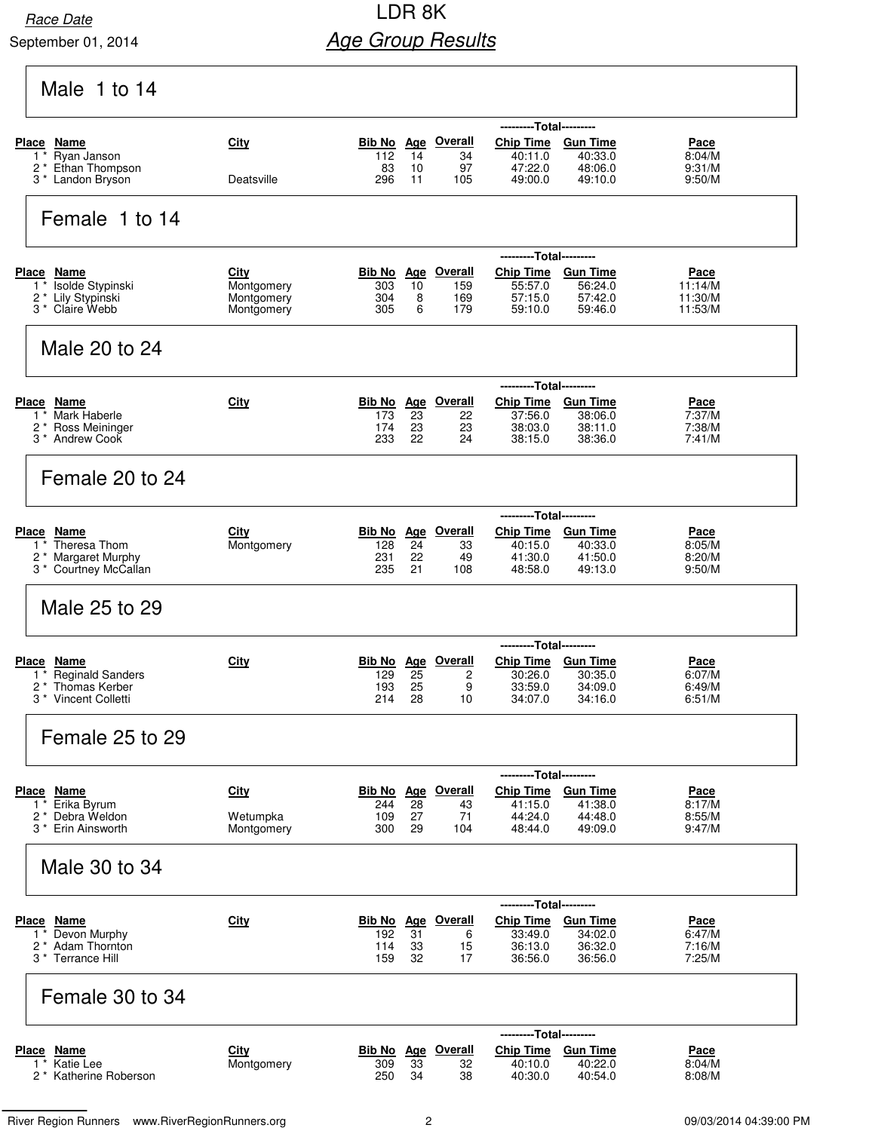## Race Date **Race Date Race Date Race Date Race Date Race Date Race Date Race Date Race Date Race Date Age Group Results**

Male 1 to 14

|                                                            |                          |            |            |                                 | ---------Total---------     |                    |                    |
|------------------------------------------------------------|--------------------------|------------|------------|---------------------------------|-----------------------------|--------------------|--------------------|
| Place Name<br>Ryan Janson<br>$1^*$                         | City                     | 112        | 14         | <b>Bib No Age Overall</b><br>34 | <b>Chip Time</b><br>40:11.0 | <b>Gun Time</b>    | Pace<br>8:04/M     |
| 2 <sup>*</sup> Ethan Thompson                              |                          | 83         | 10         | 97                              | 47:22.0                     | 40:33.0<br>48:06.0 | 9:31/M             |
| 3 <sup>*</sup> Landon Bryson                               | Deatsville               | 296        | 11         | 105                             | 49:00.0                     | 49:10.0            | 9:50/M             |
|                                                            |                          |            |            |                                 |                             |                    |                    |
| Female 1 to 14                                             |                          |            |            |                                 |                             |                    |                    |
|                                                            |                          |            |            |                                 |                             |                    |                    |
|                                                            |                          |            |            |                                 | ---------Total---------     |                    |                    |
| <b>Place Name</b>                                          | <u>City</u>              | Bib No     | <u>Age</u> | <b>Overall</b>                  | <b>Chip Time</b>            | <b>Gun Time</b>    | <u>Pace</u>        |
| Isolde Stypinski<br>$1^*$<br>2 <sup>*</sup> Lily Stypinski | Montgomery<br>Montgomery | 303<br>304 | 10<br>8    | 159<br>169                      | 55:57.0<br>57:15.0          | 56:24.0<br>57:42.0 | 11:14/M<br>11:30/M |
| 3 <sup>*</sup> Claire Webb                                 | Montgomery               | 305        | 6          | 179                             | 59:10.0                     | 59:46.0            | 11:53/M            |
|                                                            |                          |            |            |                                 |                             |                    |                    |
| Male 20 to 24                                              |                          |            |            |                                 |                             |                    |                    |
|                                                            |                          |            |            |                                 |                             |                    |                    |
|                                                            |                          |            |            |                                 | ---------Total---------     |                    |                    |
| Place Name                                                 | City                     |            |            | Bib No Age Overall              | <b>Chip Time</b>            | <b>Gun Time</b>    | Pace               |
| Mark Haberle<br>$1^*$<br>2 <sup>*</sup> Ross Meininger     |                          | 173<br>174 | 23<br>23   | 22<br>23                        | 37:56.0<br>38:03.0          | 38:06.0<br>38:11.0 | 7:37/M<br>7:38/M   |
| 3 <sup>*</sup> Andrew Cook                                 |                          | 233        | 22         | 24                              | 38:15.0                     | 38:36.0            | 7:41/M             |
|                                                            |                          |            |            |                                 |                             |                    |                    |
| Female 20 to 24                                            |                          |            |            |                                 |                             |                    |                    |
|                                                            |                          |            |            |                                 |                             |                    |                    |
|                                                            |                          |            |            |                                 | ---------Total---------     |                    |                    |
| Place Name                                                 | City                     | Bib No Age |            | <b>Overall</b>                  | Chip Time Gun Time          |                    | Pace               |
| Theresa Thom<br>1<br>2 * Margaret Murphy                   | Montgomery               | 128<br>231 | 24<br>22   | 33<br>49                        | 40:15.0<br>41:30.0          | 40:33.0<br>41:50.0 | 8:05/M<br>8:20/M   |
| 3 * Courtney McCallan                                      |                          | 235        | 21         | 108                             | 48:58.0                     | 49:13.0            | 9:50/M             |
|                                                            |                          |            |            |                                 |                             |                    |                    |
| Male 25 to 29                                              |                          |            |            |                                 |                             |                    |                    |
|                                                            |                          |            |            |                                 |                             |                    |                    |
|                                                            |                          |            |            |                                 | -----                       | ---Total---------  |                    |
| Place Name                                                 | <u>City</u>              |            |            | <b>Bib No</b> Age Overall       | <b>Chip Time</b>            | <b>Gun Time</b>    | <u>Pace</u>        |
| <b>Reginald Sanders</b><br>1<br>2 *<br>Thomas Kerber       |                          | 129<br>193 | 25<br>25   | 2<br>9                          | 30:26.0<br>33:59.0          | 30:35.0<br>34:09.0 | 6:07/M<br>6:49/M   |
| 3 <sup>*</sup> Vincent Colletti                            |                          | 214        | 28         | 10                              | 34:07.0                     | 34:16.0            | 6:51/M             |
|                                                            |                          |            |            |                                 |                             |                    |                    |
| Female 25 to 29                                            |                          |            |            |                                 |                             |                    |                    |
|                                                            |                          |            |            |                                 |                             |                    |                    |
|                                                            |                          |            |            |                                 | ---------Total---------     |                    |                    |
| Place Name                                                 | <b>City</b>              |            |            | Bib No Age Overall              | Chip Time Gun Time          |                    | <u>Pace</u>        |
| $1*$ Erika Byrum<br>2 <sup>*</sup> Debra Weldon            | Wetumpka                 | 244<br>109 | 28<br>27   | 43<br>71                        | 41:15.0<br>44:24.0          | 41:38.0<br>44:48.0 | 8:17/M<br>8:55/M   |
| 3 <sup>*</sup> Erin Ainsworth                              | Montgomery               | 300        | 29         | 104                             | 48:44.0                     | 49:09.0            | 9:47/M             |
|                                                            |                          |            |            |                                 |                             |                    |                    |
| Male 30 to 34                                              |                          |            |            |                                 |                             |                    |                    |
|                                                            |                          |            |            |                                 |                             |                    |                    |
|                                                            |                          |            |            |                                 | ---------Total---------     |                    |                    |
| Place Name                                                 | City                     |            |            | <b>Bib No Age Overall</b>       | Chip Time Gun Time          |                    | <u>Pace</u>        |
| Devon Murphy<br>$1^*$<br>2 <sup>*</sup> Adam Thornton      |                          | 192<br>114 | 31<br>33   | 6                               | 33:49.0<br>36:13.0          | 34:02.0<br>36:32.0 | 6:47/M<br>7:16/M   |
| 3 * Terrance Hill                                          |                          | 159        | 32         | 15<br>17                        | 36:56.0                     | 36:56.0            | 7:25/M             |
|                                                            |                          |            |            |                                 |                             |                    |                    |
| Female 30 to 34                                            |                          |            |            |                                 |                             |                    |                    |
|                                                            |                          |            |            |                                 |                             |                    |                    |
|                                                            |                          |            |            |                                 | ---------Total---------     |                    |                    |
| <b>Place Name</b>                                          | <b>City</b>              |            |            | <b>Bib No Age Overall</b>       | <b>Chip Time</b>            | <b>Gun Time</b>    | <u>Pace</u>        |
| 1 * Katie Lee<br>2 <sup>*</sup> Katherine Roberson         | Montgomery               | 309<br>250 | 33<br>34   | 32<br>38                        | 40:10.0<br>40:30.0          | 40:22.0<br>40:54.0 | 8:04/M<br>8:08/M   |
|                                                            |                          |            |            |                                 |                             |                    |                    |
|                                                            |                          |            |            |                                 |                             |                    |                    |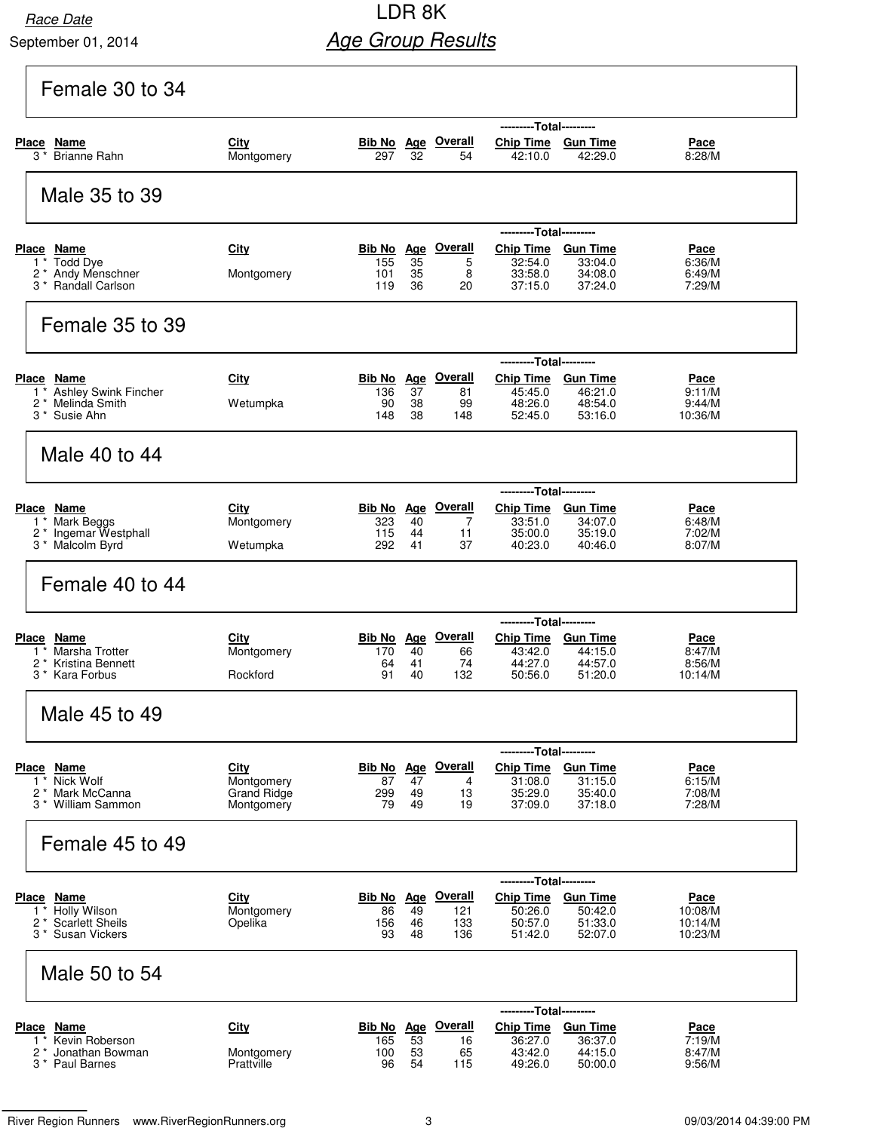## **Race Date LDR 8K Age Group Results**

| Female 30 to 34                                                                    |                                          |                          |                |                                        |                                                          |                                       |                               |
|------------------------------------------------------------------------------------|------------------------------------------|--------------------------|----------------|----------------------------------------|----------------------------------------------------------|---------------------------------------|-------------------------------|
| <b>Place</b><br>Name                                                               | City                                     |                          |                | Bib No Age Overall                     | ---------Total---------<br>Chip Time Gun Time            |                                       | <u>Pace</u>                   |
| <b>Brianne Rahn</b><br>$3^{\,*}$                                                   | Montgomery                               | 297                      | 32             | 54                                     | 42:10.0                                                  | 42:29.0                               | 8:28/M                        |
| Male 35 to 39                                                                      |                                          |                          |                |                                        |                                                          |                                       |                               |
| Place Name                                                                         | City                                     |                          |                | Bib No Age Overall                     | ---------Total---------<br>Chip Time Gun Time            |                                       | Pace                          |
| 1 * Todd Dye<br>2 * Andy Menschner<br>3 <sup>*</sup> Randall Carlson               | Montgomery                               | 155<br>101<br>119        | 35<br>35<br>36 | 5<br>8<br>20                           | 32:54.0<br>33:58.0<br>37:15.0                            | 33:04.0<br>34:08.0<br>37:24.0         | 6:36/M<br>6:49/M<br>7:29/M    |
| Female 35 to 39                                                                    |                                          |                          |                |                                        |                                                          |                                       |                               |
|                                                                                    |                                          |                          |                |                                        | ---------Total---------                                  |                                       |                               |
| Place Name<br>1 <sup>*</sup> Ashley Swink Fincher                                  | City                                     | Bib No Age<br>136        | 37             | <b>Overall</b><br>81                   | <b>Chip Time</b><br>45:45.0                              | <b>Gun Time</b><br>46:21.0            | <u>Pace</u><br>9:11/M         |
| Melinda Smith<br>2 *<br>3 <sup>*</sup> Susie Ahn                                   | Wetumpka                                 | 90<br>148                | 38<br>38       | 99<br>148                              | 48:26.0<br>52:45.0                                       | 48:54.0<br>53:16.0                    | 9:44/M<br>10:36/M             |
| Male 40 to 44                                                                      |                                          |                          |                |                                        |                                                          |                                       |                               |
|                                                                                    |                                          |                          |                |                                        | ---------Total---------                                  |                                       |                               |
| Place Name<br>1 * Mark Beggs<br>2 <sup>*</sup> Ingemar Westphall                   | <b>City</b><br>Montgomery                | Bib No Age<br>323<br>115 | 40<br>44       | <u>Overall</u><br>$\overline{7}$<br>11 | <b>Chip Time</b><br>33:51.0<br>35:00.0                   | <u>Gun Time</u><br>34:07.0<br>35:19.0 | Pace<br>6:48/M<br>7:02/M      |
| 3 <sup>*</sup> Malcolm Byrd                                                        | Wetumpka                                 | 292                      | 41             | 37                                     | 40:23.0                                                  | 40:46.0                               | 8:07/M                        |
| Female 40 to 44                                                                    |                                          |                          |                |                                        |                                                          |                                       |                               |
| Place Name                                                                         | City                                     | Bib No Age               |                | <u>Overall</u>                         | ---------Total---------<br>Chip Time Gun Time            |                                       | Pace                          |
| Marsha Trotter<br>2 <sup>*</sup> Kristina Bennett<br>3 <sup>*</sup> Kara Forbus    | Montgomery<br>Rockford                   | 170<br>64<br>91          | 40<br>41<br>40 | 66<br>74<br>132                        | 43:42.0<br>44:27.0<br>50:56.0                            | 44:15.0<br>44:57.0<br>51:20.0         | 8:47/M<br>8:56/M<br>10:14/M   |
| Male 45 to 49                                                                      |                                          |                          |                |                                        |                                                          |                                       |                               |
|                                                                                    |                                          |                          |                |                                        | ------                                                   | ----Total---------                    |                               |
| Place Name<br>Nick Wolf<br>1<br>2 *<br>Mark McCanna                                | City<br>Montgomery<br><b>Grand Ridge</b> | 87<br>299                | 47<br>49       | Bib No Age Overall<br>4<br>13          | Chip Time Gun Time<br>31:08.0<br>35:29.0                 | 31:15.0<br>35:40.0                    | Pace<br>6:15/M<br>7:08/M      |
| 3 <sup>*</sup> William Sammon                                                      | Montgomery                               | 79                       | 49             | 19                                     | 37:09.0                                                  | 37:18.0                               | 7:28/M                        |
| Female 45 to 49                                                                    |                                          |                          |                |                                        |                                                          |                                       |                               |
| Place Name                                                                         | City                                     |                          |                | <b>Bib No</b> Age Overall              | ---------Total---------<br>Chip Time Gun Time            |                                       | <u>Pace</u>                   |
| 1 * Holly Wilson<br>2 <sup>*</sup> Scarlett Sheils<br>3 <sup>*</sup> Susan Vickers | Montgomery<br>Opelika                    | 86<br>156<br>93          | 49<br>46<br>48 | 121<br>133<br>136                      | 50:26.0<br>50:57.0<br>51:42.0                            | 50:42.0<br>51:33.0<br>52:07.0         | 10:08/M<br>10:14/M<br>10:23/M |
|                                                                                    |                                          |                          |                |                                        |                                                          |                                       |                               |
| Male 50 to 54                                                                      |                                          |                          |                |                                        |                                                          |                                       |                               |
| Place Name<br>1 <sup>*</sup> Kevin Roberson                                        | City                                     | 165                      | 53             | Bib No Age Overall<br>16               | ---------Total---------<br>Chip Time Gun Time<br>36:27.0 | 36:37.0                               | <u>Pace</u><br>7:19/M         |
| 2 <sup>*</sup> Jonathan Bowman<br>3 <sup>*</sup> Paul Barnes                       | Montgomery<br>Prattville                 | 100<br>96                | 53<br>54       | 65<br>115                              | 43:42.0<br>49:26.0                                       | 44:15.0<br>50:00.0                    | 8:47/M<br>9:56/M              |

River Region Runners www.RiverRegionRunners.org 3 09/03/2014 04:39:00 PM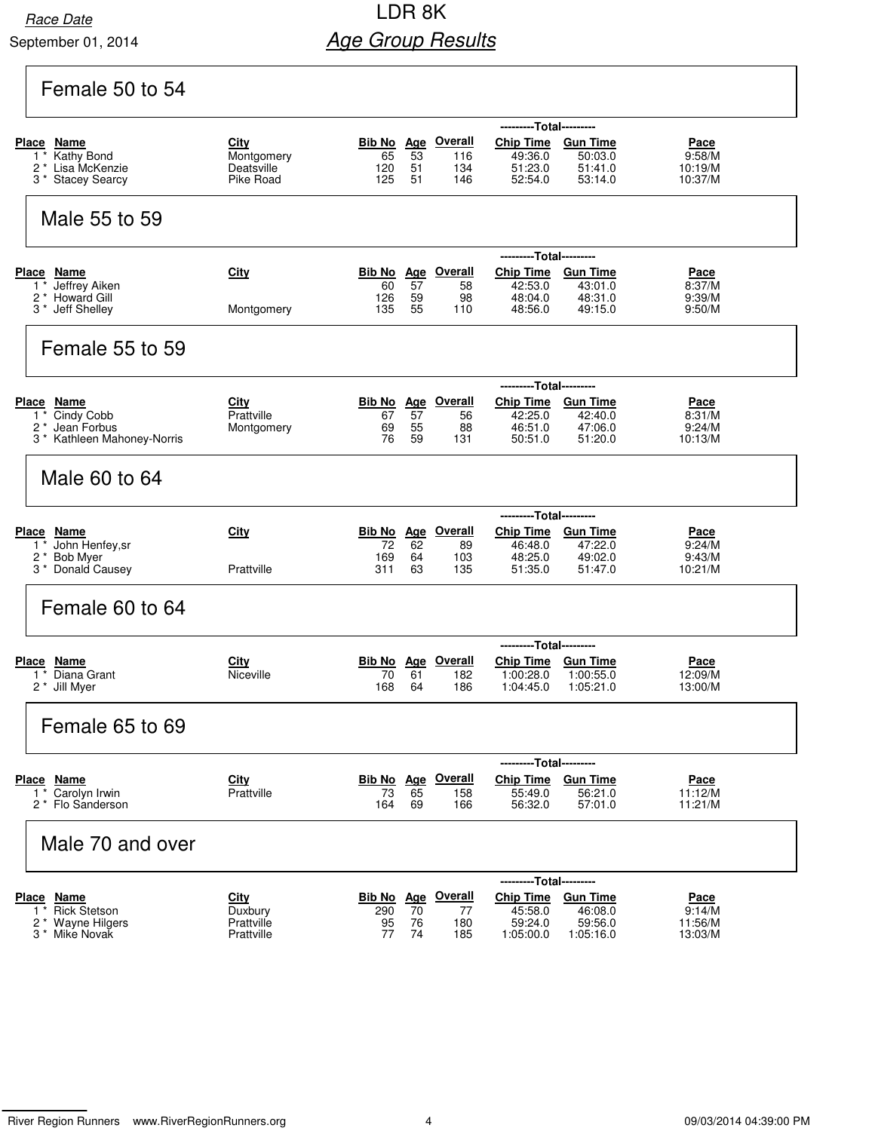### Race Date **Race Date Race Date Race Date Race Date Race Date Race Date Race Date Race Date Race Date Age Group Results**

### Female 50 to 54

|                                                   | ---------Total---------  |           |          |                           |                                               |                        |                    |  |  |  |  |
|---------------------------------------------------|--------------------------|-----------|----------|---------------------------|-----------------------------------------------|------------------------|--------------------|--|--|--|--|
| Place Name                                        | City                     |           |          | <b>Bib No</b> Age Overall | Chip Time Gun Time                            |                        | Pace               |  |  |  |  |
| Kathy Bond<br>1 *<br>2 * Lisa McKenzie            | Montgomery<br>Deatsville | 65<br>120 | 53<br>51 | 116<br>134                | 49:36.0<br>51:23.0                            | 50:03.0<br>51:41.0     | 9:58/M<br>10:19/M  |  |  |  |  |
| 3* Stacey Searcy                                  | Pike Road                | 125       | 51       | 146                       | 52:54.0                                       | 53:14.0                | 10:37/M            |  |  |  |  |
| Male 55 to 59                                     |                          |           |          |                           |                                               |                        |                    |  |  |  |  |
|                                                   |                          |           |          |                           |                                               |                        |                    |  |  |  |  |
| <b>Place Name</b>                                 | <b>City</b>              |           |          | Bib No Age Overall        | -----<br>Chip Time Gun Time                   | ---Total---------      | <u>Pace</u>        |  |  |  |  |
| Jeffrey Aiken<br>1 *                              |                          | 60        | 57       | 58                        | 42:53.0                                       | 43:01.0                | 8:37/M             |  |  |  |  |
| 2 * Howard Gill                                   |                          | 126       | 59       | 98                        | 48:04.0                                       | 48:31.0                | 9:39/M             |  |  |  |  |
| 3 * Jeff Shelley                                  | Montgomery               | 135       | 55       | 110                       | 48:56.0                                       | 49:15.0                | 9:50/M             |  |  |  |  |
| Female 55 to 59                                   |                          |           |          |                           |                                               |                        |                    |  |  |  |  |
|                                                   |                          |           |          |                           | ---------Total---------                       |                        |                    |  |  |  |  |
| Place Name                                        | <b>City</b>              |           |          | <b>Bib No</b> Age Overall | Chip Time Gun Time                            |                        | <u>Pace</u>        |  |  |  |  |
| Cindy Cobb<br>$1^*$<br>2 <sup>*</sup> Jean Forbus | Prattville<br>Montgomery | 67<br>69  | 57<br>55 | 56<br>88                  | 42:25.0<br>46:51.0                            | 42:40.0<br>47:06.0     | 8:31/M<br>9:24/M   |  |  |  |  |
| 3 * Kathleen Mahoney-Norris                       |                          | 76        | 59       | 131                       | 50:51.0                                       | 51:20.0                | 10:13/M            |  |  |  |  |
| Male 60 to 64                                     |                          |           |          |                           |                                               |                        |                    |  |  |  |  |
|                                                   |                          |           |          |                           | ---------Total---------                       |                        |                    |  |  |  |  |
| Place Name                                        | City                     | 72        |          | Bib No Age Overall        | Chip Time Gun Time                            |                        | Pace               |  |  |  |  |
| John Henfey, sr<br>1 *<br>2 * Bob Myer            |                          | 169       | 62<br>64 | 89<br>103                 | 46:48.0<br>48:25.0                            | 47:22.0<br>49:02.0     | 9:24/M<br>9:43/M   |  |  |  |  |
| 3 * Donald Causey                                 | Prattville               | 311       | 63       | 135                       | 51:35.0                                       | 51:47.0                | 10:21/M            |  |  |  |  |
| Female 60 to 64                                   |                          |           |          |                           |                                               |                        |                    |  |  |  |  |
|                                                   |                          |           |          |                           | ---------Total---------                       |                        |                    |  |  |  |  |
| Place<br>Name                                     | City                     |           |          | <b>Bib No</b> Age Overall | <b>Chip Time</b>                              | <b>Gun Time</b>        | <u>Pace</u>        |  |  |  |  |
| Diana Grant<br>$1 *$<br>2 <sup>*</sup> Jill Myer  | Niceville                | 70<br>168 | 61<br>64 | 182<br>186                | 1:00:28.0<br>1:04:45.0                        | 1:00:55.0<br>1:05:21.0 | 12:09/M<br>13:00/M |  |  |  |  |
| Female 65 to 69                                   |                          |           |          |                           |                                               |                        |                    |  |  |  |  |
|                                                   |                          |           |          |                           |                                               |                        |                    |  |  |  |  |
| Place Name                                        | <b>City</b>              |           |          | Bib No Age Overall        | ---------Total---------<br>Chip Time Gun Time |                        | Pace               |  |  |  |  |
| Carolyn Irwin<br>$1^*$                            | Prattville               | 73        | 65       | 158                       | 55:49.0                                       | 56:21.0                | 11:12/M            |  |  |  |  |
| 2 <sup>*</sup> Flo Sanderson                      |                          | 164       | 69       | 166                       | 56:32.0                                       | 57:01.0                | 11:21/M            |  |  |  |  |
| Male 70 and over                                  |                          |           |          |                           |                                               |                        |                    |  |  |  |  |
|                                                   |                          |           |          |                           | ------                                        | ---Total---------      |                    |  |  |  |  |
| Place Name                                        | <b>City</b>              |           |          | <b>Bib No</b> Age Overall | <b>Chip Time</b>                              | <b>Gun Time</b>        | <u>Pace</u>        |  |  |  |  |
| <b>Rick Stetson</b><br>1 *<br>2 * Wayne Hilgers   | Duxbury<br>Prattville    | 290<br>95 | 70<br>76 | 77<br>180                 | 45:58.0<br>59:24.0                            | 46:08.0<br>59:56.0     | 9:14/M<br>11:56/M  |  |  |  |  |
| 3 <sup>*</sup> Mike Novak                         | Prattville               | 77        | 74       | 185                       | 1:05:00.0                                     | 1:05:16.0              | 13:03/M            |  |  |  |  |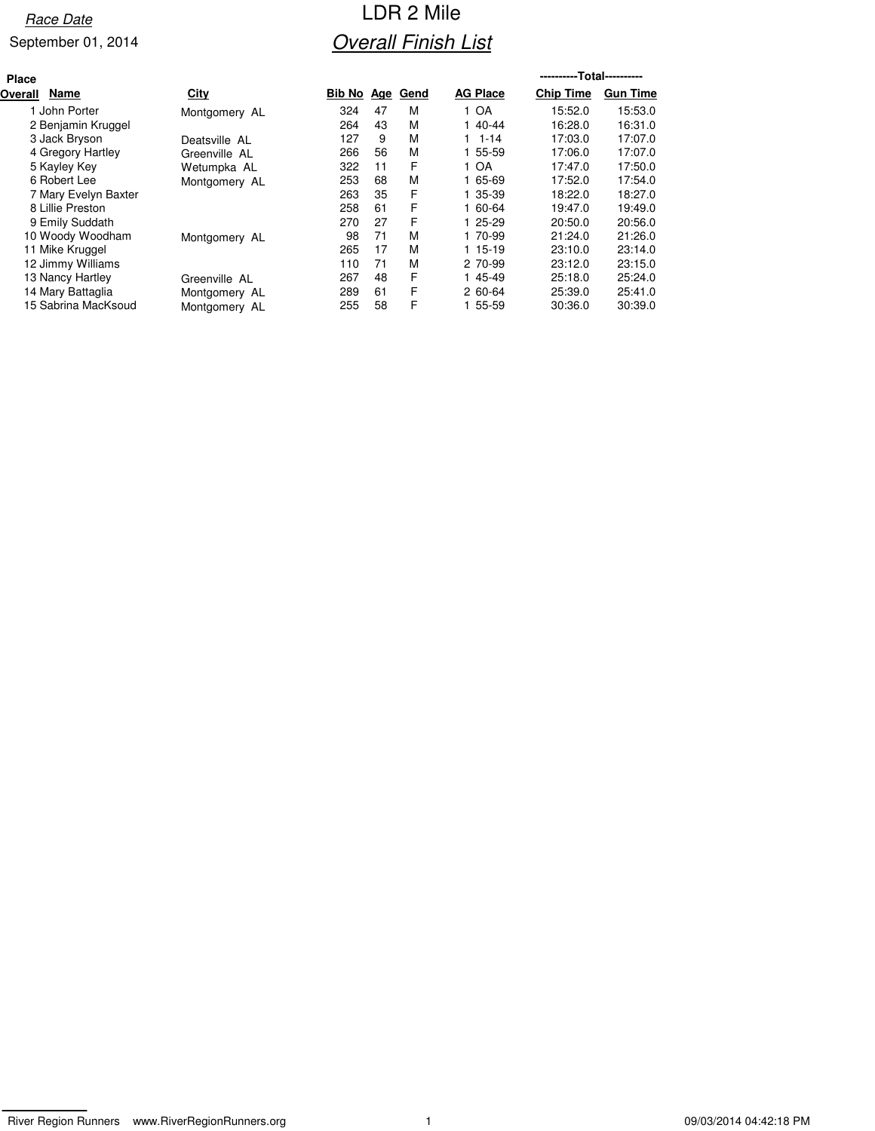# Race Date **Race Date Race Date Race Date Race Date Race Date Race Date Race Date Race Date Race Date Overall Finish List**

| <b>Place</b>         |               |            |    |      |                 | ----------Total---------- |                 |
|----------------------|---------------|------------|----|------|-----------------|---------------------------|-----------------|
| Name<br>Overall      | City          | Bib No Age |    | Gend | <b>AG Place</b> | <b>Chip Time</b>          | <b>Gun Time</b> |
| 1 John Porter        | Montgomery AL | 324        | 47 | м    | 1 OA            | 15:52.0                   | 15:53.0         |
| 2 Benjamin Kruggel   |               | 264        | 43 | м    | 1 40-44         | 16:28.0                   | 16:31.0         |
| 3 Jack Bryson        | Deatsville AL | 127        | 9  | м    | $1 1 - 14$      | 17:03.0                   | 17:07.0         |
| 4 Gregory Hartley    | Greenville AL | 266        | 56 | М    | 1 55-59         | 17:06.0                   | 17:07.0         |
| 5 Kayley Key         | Wetumpka AL   | 322        | 11 | F    | 1 OA            | 17:47.0                   | 17:50.0         |
| 6 Robert Lee         | Montgomery AL | 253        | 68 | м    | 1 65-69         | 17:52.0                   | 17:54.0         |
| 7 Mary Evelyn Baxter |               | 263        | 35 | F    | 1 35-39         | 18:22.0                   | 18:27.0         |
| 8 Lillie Preston     |               | 258        | 61 | F    | 1 60-64         | 19:47.0                   | 19:49.0         |
| 9 Emily Suddath      |               | 270        | 27 | F    | 1 25-29         | 20:50.0                   | 20:56.0         |
| 10 Woody Woodham     | Montgomery AL | 98         | 71 | м    | 1 70-99         | 21:24.0                   | 21:26.0         |
| 11 Mike Kruggel      |               | 265        | 17 | м    | 1 15-19         | 23:10.0                   | 23:14.0         |
| 12 Jimmy Williams    |               | 110        | 71 | м    | 2 70-99         | 23:12.0                   | 23:15.0         |
| 13 Nancy Hartley     | Greenville AL | 267        | 48 | F    | 1 45-49         | 25:18.0                   | 25:24.0         |
| 14 Mary Battaglia    | Montgomery AL | 289        | 61 | F    | 2 60-64         | 25:39.0                   | 25:41.0         |
| 15 Sabrina MacKsoud  | Montgomery AL | 255        | 58 | F    | 1 55-59         | 30:36.0                   | 30:39.0         |
|                      |               |            |    |      |                 |                           |                 |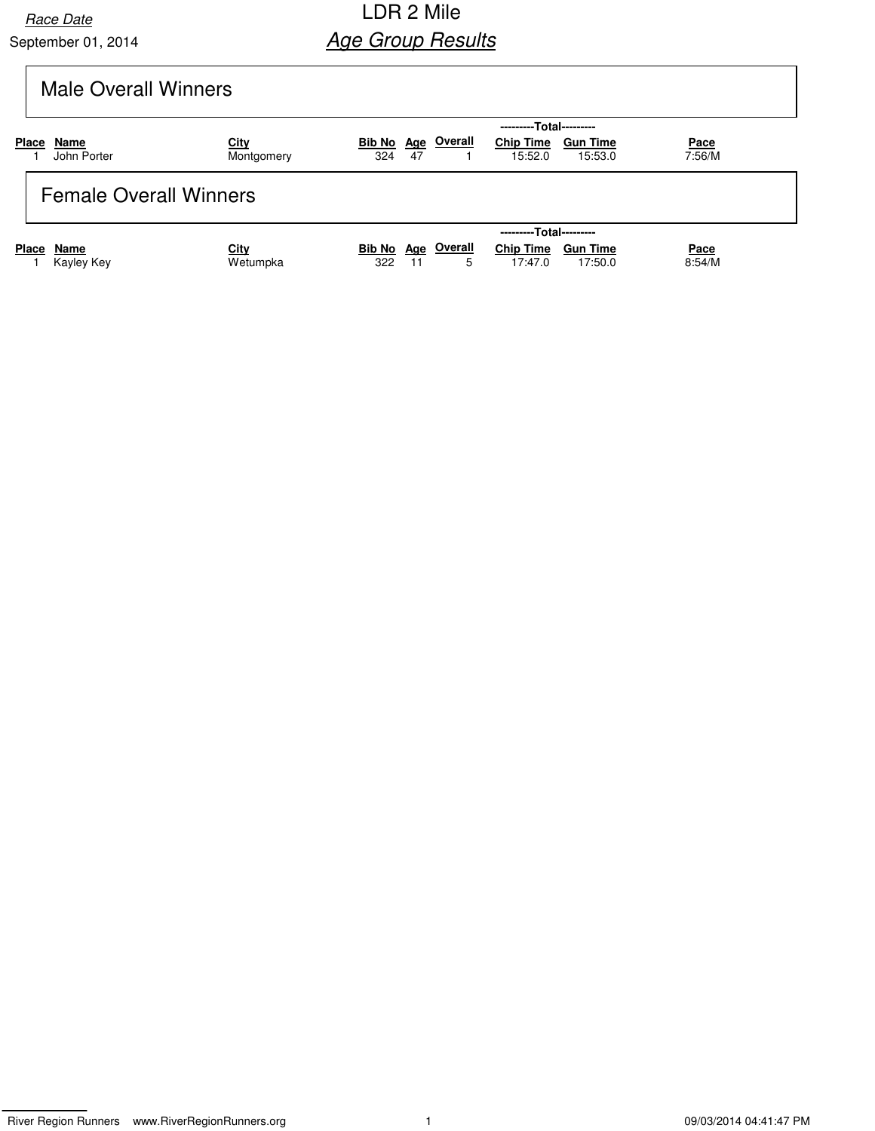## Race Date **Race Date Race Date Race Date Race Date Race Date Race Date Race Date Race Date Race Date Age Group Results**

# Male Overall Winners

|                         |                               |                    |                                  |    |                | ---------Total---------     |                            |                       |
|-------------------------|-------------------------------|--------------------|----------------------------------|----|----------------|-----------------------------|----------------------------|-----------------------|
| <b>Place</b>            | Name<br>John Porter           | City<br>Montgomery | Bib No Age<br>324                | 47 | <u>Overall</u> | <b>Chip Time</b><br>15:52.0 | <b>Gun Time</b><br>15:53.0 | <u>Pace</u><br>7:56/M |
|                         | <b>Female Overall Winners</b> |                    |                                  |    |                |                             |                            |                       |
| ---------Total--------- |                               |                    |                                  |    |                |                             |                            |                       |
| <b>Place</b>            | Name<br>Kayley Key            | City<br>Wetumpka   | <b>Bib No Age Overall</b><br>322 | 11 | 5              | <b>Chip Time</b><br>17:47.0 | <b>Gun Time</b><br>17:50.0 | <u>Pace</u><br>8:54/M |

River Region Runners www.RiverRegionRunners.org 1 09/03/2014 04:41:47 PM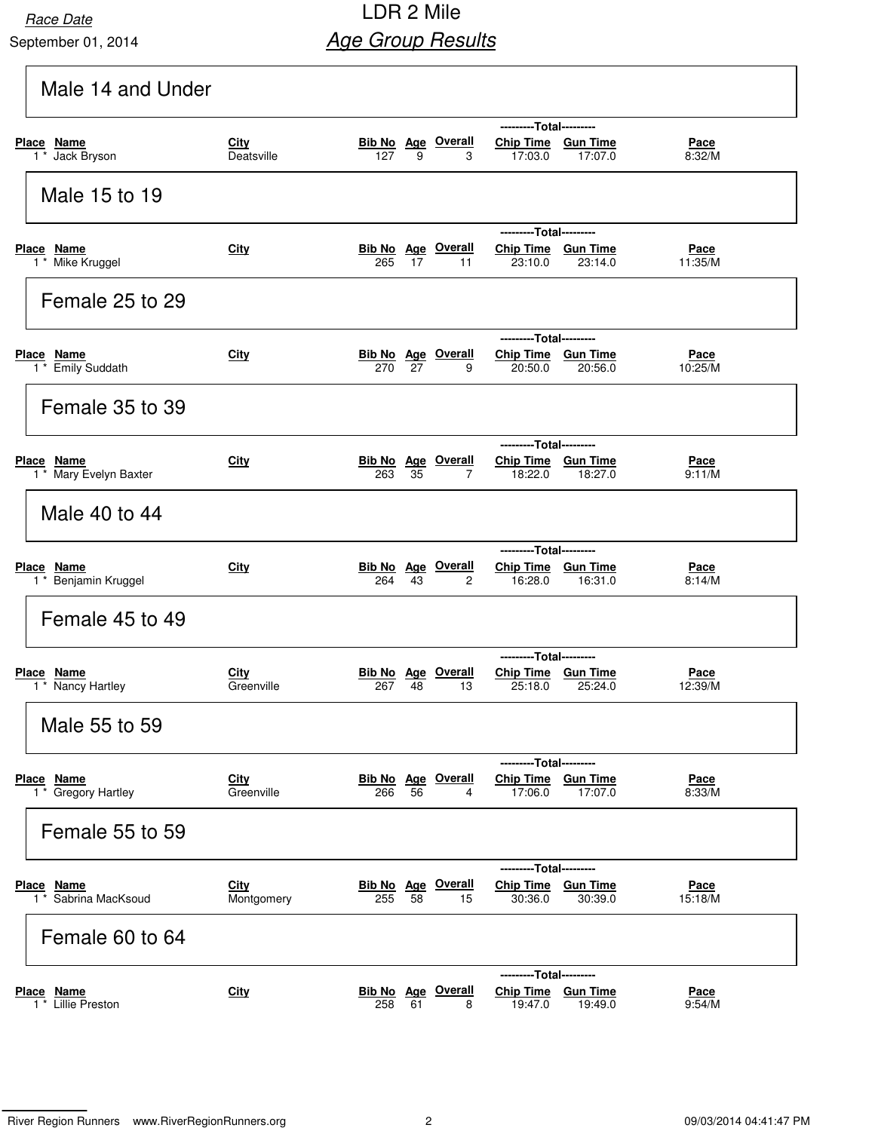## Race Date **Race Date Race Date Race Date Race Date Race Date Race Date Race Date Race Date Race Date Age Group Results**

| Male 14 and Under                               |                           |                                                                                                                                                              |
|-------------------------------------------------|---------------------------|--------------------------------------------------------------------------------------------------------------------------------------------------------------|
| Place Name<br>Jack Bryson<br>$1^*$              | <b>City</b><br>Deatsville | ---------Total---------<br>Chip Time Gun Time<br><b>Bib No Age Overall</b><br><u>Pace</u><br>127<br>9<br>17:07.0<br>8:32/M<br>3<br>17:03.0                   |
| Male 15 to 19                                   |                           |                                                                                                                                                              |
| Place Name<br>1 <sup>*</sup> Mike Kruggel       | City                      | ---------Total---------<br><b>Bib No</b> Age Overall<br>Chip Time Gun Time<br><u>Pace</u><br>265<br>17<br>11<br>23:10.0<br>23:14.0<br>11:35/M                |
| Female 25 to 29                                 |                           |                                                                                                                                                              |
| Place Name<br>1 <sup>*</sup> Emily Suddath      | <b>City</b>               | ---------Total---------<br><b>Bib No Age Overall</b><br>Chip Time Gun Time<br><u>Pace</u><br>27<br>20:56.0<br>10:25/M<br>270<br>9<br>20:50.0                 |
| Female 35 to 39                                 |                           |                                                                                                                                                              |
| Place Name<br>1 <sup>*</sup> Mary Evelyn Baxter | City                      | ---------Total---------<br><b>Bib No Age Overall</b><br>Chip Time Gun Time<br><u>Pace</u><br>9:11/M<br>263<br>35<br>7<br>18:22.0<br>18:27.0                  |
| Male 40 to 44                                   |                           |                                                                                                                                                              |
| Place Name<br>1 <sup>*</sup> Benjamin Kruggel   | City                      | ---------Total---------<br><b>Bib No Age Overall</b><br>Chip Time Gun Time<br><u>Pace</u><br>43<br>$\overline{2}$<br>16:28.0<br>16:31.0<br>8:14/M<br>264     |
| Female 45 to 49                                 |                           |                                                                                                                                                              |
| Place<br><b>Name</b><br>1 * Nancy Hartley       | City<br>Greenville        | ---------Total---------<br><b>Overall</b><br>Chip Time Gun Time<br>Bib No Age<br><u>Pace</u><br>25:18.0<br>267<br>48<br>13<br>25:24.0<br>12:39/M             |
| Male 55 to 59                                   |                           |                                                                                                                                                              |
| Place Name<br>1 * Gregory Hartley               | <b>City</b><br>Greenville | ---Total---------<br><b>Bib No Age Overall</b><br><b>Chip Time</b><br><b>Gun Time</b><br><u>Pace</u><br>56<br>17:06.0<br>17:07.0<br>8:33/M<br>266<br>4       |
| Female 55 to 59                                 |                           |                                                                                                                                                              |
| Place Name<br>1 * Sabrina MacKsoud              | City<br>Montgomery        | ---------Total---------<br><b>Bib No</b> Age Overall<br>Chip Time Gun Time<br><u>Pace</u><br>255<br>58<br>30:36.0<br>30:39.0<br>15:18/M<br>15                |
| Female 60 to 64                                 |                           |                                                                                                                                                              |
| <u>Place Name</u><br>1 * Lillie Preston         | <b>City</b>               | ---------Total---------<br><b>Bib No</b> Age Overall<br><b>Chip Time</b><br><b>Gun Time</b><br><u>Pace</u><br>258<br>61<br>19:47.0<br>19:49.0<br>9:54/M<br>8 |